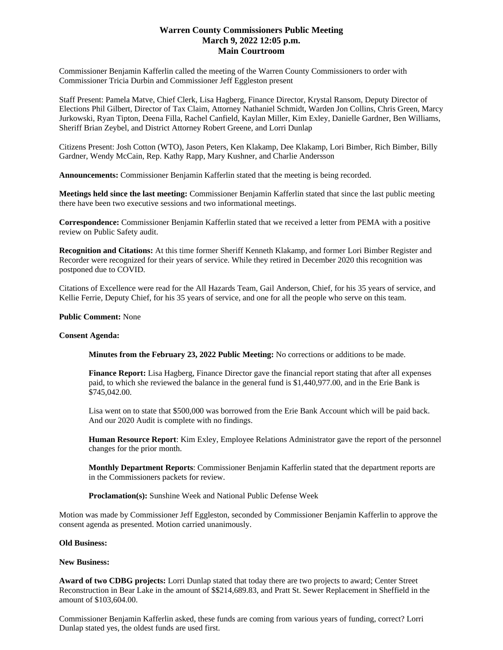# **Warren County Commissioners Public Meeting March 9, 2022 12:05 p.m. Main Courtroom**

Commissioner Benjamin Kafferlin called the meeting of the Warren County Commissioners to order with Commissioner Tricia Durbin and Commissioner Jeff Eggleston present

Staff Present: Pamela Matve, Chief Clerk, Lisa Hagberg, Finance Director, Krystal Ransom, Deputy Director of Elections Phil Gilbert, Director of Tax Claim, Attorney Nathaniel Schmidt, Warden Jon Collins, Chris Green, Marcy Jurkowski, Ryan Tipton, Deena Filla, Rachel Canfield, Kaylan Miller, Kim Exley, Danielle Gardner, Ben Williams, Sheriff Brian Zeybel, and District Attorney Robert Greene, and Lorri Dunlap

Citizens Present: Josh Cotton (WTO), Jason Peters, Ken Klakamp, Dee Klakamp, Lori Bimber, Rich Bimber, Billy Gardner, Wendy McCain, Rep. Kathy Rapp, Mary Kushner, and Charlie Andersson

**Announcements:** Commissioner Benjamin Kafferlin stated that the meeting is being recorded.

**Meetings held since the last meeting:** Commissioner Benjamin Kafferlin stated that since the last public meeting there have been two executive sessions and two informational meetings.

**Correspondence:** Commissioner Benjamin Kafferlin stated that we received a letter from PEMA with a positive review on Public Safety audit.

**Recognition and Citations:** At this time former Sheriff Kenneth Klakamp, and former Lori Bimber Register and Recorder were recognized for their years of service. While they retired in December 2020 this recognition was postponed due to COVID.

Citations of Excellence were read for the All Hazards Team, Gail Anderson, Chief, for his 35 years of service, and Kellie Ferrie, Deputy Chief, for his 35 years of service, and one for all the people who serve on this team.

## **Public Comment:** None

### **Consent Agenda:**

**Minutes from the February 23, 2022 Public Meeting:** No corrections or additions to be made.

**Finance Report:** Lisa Hagberg, Finance Director gave the financial report stating that after all expenses paid, to which she reviewed the balance in the general fund is \$1,440,977.00, and in the Erie Bank is \$745,042.00.

Lisa went on to state that \$500,000 was borrowed from the Erie Bank Account which will be paid back. And our 2020 Audit is complete with no findings.

**Human Resource Report**: Kim Exley, Employee Relations Administrator gave the report of the personnel changes for the prior month.

**Monthly Department Reports**: Commissioner Benjamin Kafferlin stated that the department reports are in the Commissioners packets for review.

**Proclamation(s):** Sunshine Week and National Public Defense Week

Motion was made by Commissioner Jeff Eggleston, seconded by Commissioner Benjamin Kafferlin to approve the consent agenda as presented. Motion carried unanimously.

#### **Old Business:**

### **New Business:**

**Award of two CDBG projects:** Lorri Dunlap stated that today there are two projects to award; Center Street Reconstruction in Bear Lake in the amount of \$\$214,689.83, and Pratt St. Sewer Replacement in Sheffield in the amount of \$103,604.00.

Commissioner Benjamin Kafferlin asked, these funds are coming from various years of funding, correct? Lorri Dunlap stated yes, the oldest funds are used first.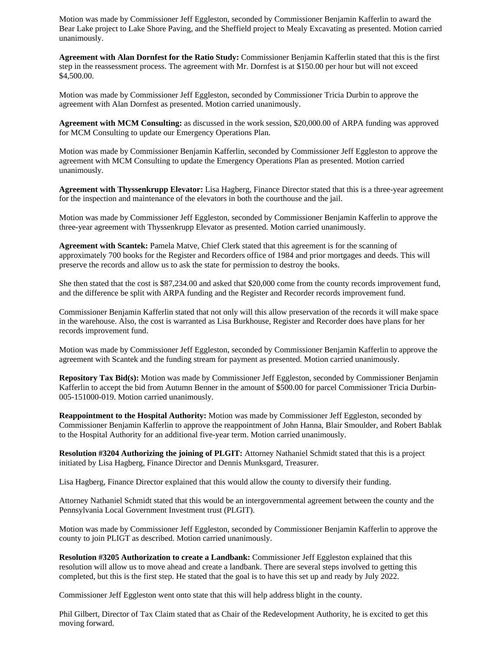Motion was made by Commissioner Jeff Eggleston, seconded by Commissioner Benjamin Kafferlin to award the Bear Lake project to Lake Shore Paving, and the Sheffield project to Mealy Excavating as presented. Motion carried unanimously.

**Agreement with Alan Dornfest for the Ratio Study:** Commissioner Benjamin Kafferlin stated that this is the first step in the reassessment process. The agreement with Mr. Dornfest is at \$150.00 per hour but will not exceed \$4,500.00.

Motion was made by Commissioner Jeff Eggleston, seconded by Commissioner Tricia Durbin to approve the agreement with Alan Dornfest as presented. Motion carried unanimously.

**Agreement with MCM Consulting:** as discussed in the work session, \$20,000.00 of ARPA funding was approved for MCM Consulting to update our Emergency Operations Plan.

Motion was made by Commissioner Benjamin Kafferlin, seconded by Commissioner Jeff Eggleston to approve the agreement with MCM Consulting to update the Emergency Operations Plan as presented. Motion carried unanimously.

**Agreement with Thyssenkrupp Elevator:** Lisa Hagberg, Finance Director stated that this is a three-year agreement for the inspection and maintenance of the elevators in both the courthouse and the jail.

Motion was made by Commissioner Jeff Eggleston, seconded by Commissioner Benjamin Kafferlin to approve the three-year agreement with Thyssenkrupp Elevator as presented. Motion carried unanimously.

**Agreement with Scantek:** Pamela Matve, Chief Clerk stated that this agreement is for the scanning of approximately 700 books for the Register and Recorders office of 1984 and prior mortgages and deeds. This will preserve the records and allow us to ask the state for permission to destroy the books.

She then stated that the cost is \$87,234.00 and asked that \$20,000 come from the county records improvement fund, and the difference be split with ARPA funding and the Register and Recorder records improvement fund.

Commissioner Benjamin Kafferlin stated that not only will this allow preservation of the records it will make space in the warehouse. Also, the cost is warranted as Lisa Burkhouse, Register and Recorder does have plans for her records improvement fund.

Motion was made by Commissioner Jeff Eggleston, seconded by Commissioner Benjamin Kafferlin to approve the agreement with Scantek and the funding stream for payment as presented. Motion carried unanimously.

**Repository Tax Bid(s):** Motion was made by Commissioner Jeff Eggleston, seconded by Commissioner Benjamin Kafferlin to accept the bid from Autumn Benner in the amount of \$500.00 for parcel Commissioner Tricia Durbin-005-151000-019. Motion carried unanimously.

**Reappointment to the Hospital Authority:** Motion was made by Commissioner Jeff Eggleston, seconded by Commissioner Benjamin Kafferlin to approve the reappointment of John Hanna, Blair Smoulder, and Robert Bablak to the Hospital Authority for an additional five-year term. Motion carried unanimously.

**Resolution #3204 Authorizing the joining of PLGIT:** Attorney Nathaniel Schmidt stated that this is a project initiated by Lisa Hagberg, Finance Director and Dennis Munksgard, Treasurer.

Lisa Hagberg, Finance Director explained that this would allow the county to diversify their funding.

Attorney Nathaniel Schmidt stated that this would be an intergovernmental agreement between the county and the Pennsylvania Local Government Investment trust (PLGIT).

Motion was made by Commissioner Jeff Eggleston, seconded by Commissioner Benjamin Kafferlin to approve the county to join PLIGT as described. Motion carried unanimously.

**Resolution #3205 Authorization to create a Landbank:** Commissioner Jeff Eggleston explained that this resolution will allow us to move ahead and create a landbank. There are several steps involved to getting this completed, but this is the first step. He stated that the goal is to have this set up and ready by July 2022.

Commissioner Jeff Eggleston went onto state that this will help address blight in the county.

Phil Gilbert, Director of Tax Claim stated that as Chair of the Redevelopment Authority, he is excited to get this moving forward.